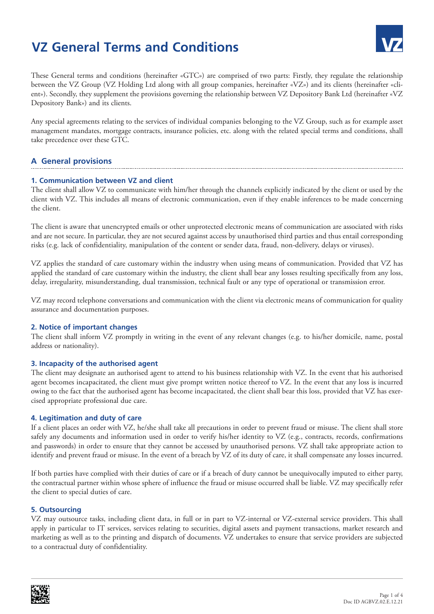# **VZ General Terms and Conditions**



These General terms and conditions (hereinafter «GTC») are comprised of two parts: Firstly, they regulate the relationship between the VZ Group (VZ Holding Ltd along with all group companies, hereinafter «VZ») and its clients (hereinafter «client»). Secondly, they supplement the provisions governing the relationship between VZ Depository Bank Ltd (hereinafter «VZ Depository Bank») and its clients.

Any special agreements relating to the services of individual companies belonging to the VZ Group, such as for example asset management mandates, mortgage contracts, insurance policies, etc. along with the related special terms and conditions, shall take precedence over these GTC.

# **A General provisions**

## **1. Communication between VZ and client**

The client shall allow VZ to communicate with him/her through the channels explicitly indicated by the client or used by the client with VZ. This includes all means of electronic communication, even if they enable inferences to be made concerning the client.

The client is aware that unencrypted emails or other unprotected electronic means of communication are associated with risks and are not secure. In particular, they are not secured against access by unauthorised third parties and thus entail corresponding risks (e.g. lack of confidentiality, manipulation of the content or sender data, fraud, non-delivery, delays or viruses).

VZ applies the standard of care customary within the industry when using means of communication. Provided that VZ has applied the standard of care customary within the industry, the client shall bear any losses resulting specifically from any loss, delay, irregularity, misunderstanding, dual transmission, technical fault or any type of operational or transmission error.

VZ may record telephone conversations and communication with the client via electronic means of communication for quality assurance and documentation purposes.

## **2. Notice of important changes**

The client shall inform VZ promptly in writing in the event of any relevant changes (e.g. to his/her domicile, name, postal address or nationality).

## **3. Incapacity of the authorised agent**

The client may designate an authorised agent to attend to his business relationship with VZ. In the event that his authorised agent becomes incapacitated, the client must give prompt written notice thereof to VZ. In the event that any loss is incurred owing to the fact that the authorised agent has become incapacitated, the client shall bear this loss, provided that VZ has exercised appropriate professional due care.

## **4. Legitimation and duty of care**

If a client places an order with VZ, he/she shall take all precautions in order to prevent fraud or misuse. The client shall store safely any documents and information used in order to verify his/her identity to VZ (e.g., contracts, records, confirmations and passwords) in order to ensure that they cannot be accessed by unauthorised persons. VZ shall take appropriate action to identify and prevent fraud or misuse. In the event of a breach by VZ of its duty of care, it shall compensate any losses incurred.

If both parties have complied with their duties of care or if a breach of duty cannot be unequivocally imputed to either party, the contractual partner within whose sphere of influence the fraud or misuse occurred shall be liable. VZ may specifically refer the client to special duties of care.

## **5. Outsourcing**

VZ may outsource tasks, including client data, in full or in part to VZ-internal or VZ-external service providers. This shall apply in particular to IT services, services relating to securities, digital assets and payment transactions, market research and marketing as well as to the printing and dispatch of documents. VZ undertakes to ensure that service providers are subjected to a contractual duty of confidentiality.

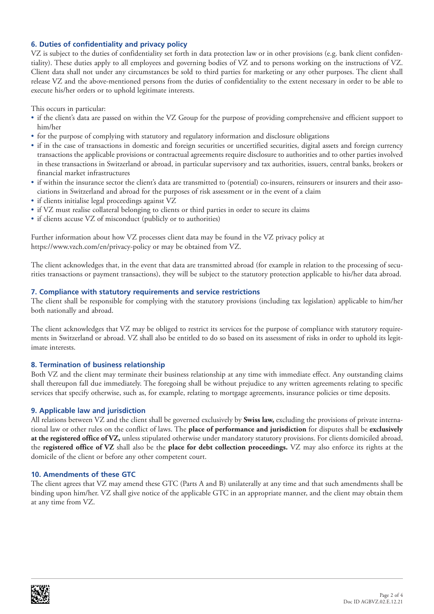## **6. Duties of confidentiality and privacy policy**

VZ is subject to the duties of confidentiality set forth in data protection law or in other provisions (e.g. bank client confidentiality). These duties apply to all employees and governing bodies of VZ and to persons working on the instructions of VZ. Client data shall not under any circumstances be sold to third parties for marketing or any other purposes. The client shall release VZ and the above-mentioned persons from the duties of confidentiality to the extent necessary in order to be able to execute his/her orders or to uphold legitimate interests.

This occurs in particular:

- if the client's data are passed on within the VZ Group for the purpose of providing comprehensive and efficient support to him/her
- for the purpose of complying with statutory and regulatory information and disclosure obligations
- if in the case of transactions in domestic and foreign securities or uncertified securities, digital assets and foreign currency transactions the applicable provisions or contractual agreements require disclosure to authorities and to other parties involved in these transactions in Switzerland or abroad, in particular supervisory and tax authorities, issuers, central banks, brokers or financial market infrastructures
- if within the insurance sector the client's data are transmitted to (potential) co-insurers, reinsurers or insurers and their associations in Switzerland and abroad for the purposes of risk assessment or in the event of a claim
- if clients initialise legal proceedings against VZ
- if VZ must realise collateral belonging to clients or third parties in order to secure its claims
- if clients accuse VZ of misconduct (publicly or to authorities)

Further information about how VZ processes client data may be found in the VZ privacy policy at https://www.vzch.com/en/privacy-policy or may be obtained from VZ.

The client acknowledges that, in the event that data are transmitted abroad (for example in relation to the processing of securities transactions or payment transactions), they will be subject to the statutory protection applicable to his/her data abroad.

#### **7. Compliance with statutory requirements and service restrictions**

The client shall be responsible for complying with the statutory provisions (including tax legislation) applicable to him/her both nationally and abroad.

The client acknowledges that VZ may be obliged to restrict its services for the purpose of compliance with statutory requirements in Switzerland or abroad. VZ shall also be entitled to do so based on its assessment of risks in order to uphold its legitimate interests.

#### **8. Termination of business relationship**

Both VZ and the client may terminate their business relationship at any time with immediate effect. Any outstanding claims shall thereupon fall due immediately. The foregoing shall be without prejudice to any written agreements relating to specific services that specify otherwise, such as, for example, relating to mortgage agreements, insurance policies or time deposits.

## **9. Applicable law and jurisdiction**

All relations between VZ and the client shall be governed exclusively by **Swiss law,** excluding the provisions of private international law or other rules on the conflict of laws. The **place of performance and jurisdiction** for disputes shall be **exclusively at the registered office of VZ,** unless stipulated otherwise under mandatory statutory provisions. For clients domiciled abroad, the **registered office of VZ** shall also be the **place for debt collection proceedings.** VZ may also enforce its rights at the domicile of the client or before any other competent court.

#### **10. Amendments of these GTC**

The client agrees that VZ may amend these GTC (Parts A and B) unilaterally at any time and that such amendments shall be binding upon him/her. VZ shall give notice of the applicable GTC in an appropriate manner, and the client may obtain them at any time from VZ.

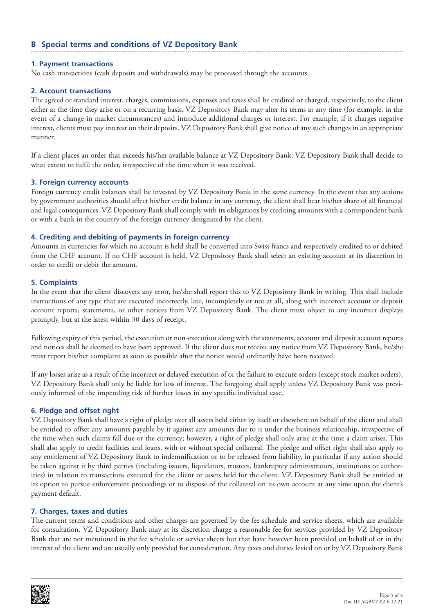## **B Special terms and conditions of VZ Depository Bank**

### **1. Payment transactions**

No cash transactions (cash deposits and withdrawals) may be processed through the accounts.

### **2. Account transactions**

The agreed or standard interest, charges, commissions, expenses and taxes shall be credited or charged, respectively, to the client either at the time they arise or on a recurring basis. VZ Depository Bank may alter its terms at any time (for example, in the event of a change in market circumstances) and introduce additional charges or interest. For example, if it charges negative interest, clients must pay interest on their deposits. VZ Depository Bank shall give notice of any such changes in an appropriate manner.

If a client places an order that exceeds his/her available balance at VZ Depository Bank, VZ Depository Bank shall decide to what extent to fulfil the order, irrespective of the time when it was received.

#### **3. Foreign currency accounts**

Foreign currency credit balances shall be invested by VZ Depository Bank in the same currency. In the event that any actions by government authorities should affect his/her credit balance in any currency, the client shall bear his/her share of all financial and legal consequences. VZ Depository Bank shall comply with its obligations by crediting amounts with a correspondent bank or with a bank in the country of the foreign currency designated by the client.

#### **4. Crediting and debiting of payments in foreign currency**

Amounts in currencies for which no account is held shall be converted into Swiss francs and respectively credited to or debited from the CHF account. If no CHF account is held, VZ Depository Bank shall select an existing account at its discretion in order to credit or debit the amount.

#### **5. Complaints**

In the event that the client discovers any error, he/she shall report this to VZ Depository Bank in writing. This shall include instructions of any type that are executed incorrectly, late, incompletely or not at all, along with incorrect account or deposit account reports, statements, or other notices from VZ Depository Bank. The client must object to any incorrect displays promptly, but at the latest within 30 days of receipt.

Following expiry of this period, the execution or non-execution along with the statements, account and deposit account reports and notices shall be deemed to have been approved. If the client does not receive any notice from VZ Depository Bank, he/she must report his/her complaint as soon as possible after the notice would ordinarily have been received.

If any losses arise as a result of the incorrect or delayed execution of or the failure to execute orders (except stock market orders), VZ Depository Bank shall only be liable for loss of interest. The foregoing shall apply unless VZ Depository Bank was previously informed of the impending risk of further losses in any specific individual case.

## **6. Pledge and offset right**

VZ Depository Bank shall have a right of pledge over all assets held either by itself or elsewhere on behalf of the client and shall be entitled to offset any amounts payable by it against any amounts due to it under the business relationship, irrespective of the time when such claims fall due or the currency; however, a right of pledge shall only arise at the time a claim arises. This shall also apply to credit facilities and loans, with or without special collateral. The pledge and offset right shall also apply to any entitlement of VZ Depository Bank to indemnification or to be released from liability, in particular if any action should be taken against it by third parties (including issuers, liquidators, trustees, bankruptcy administrators, institutions or authorities) in relation to transactions executed for the client or assets held for the client. VZ Depository Bank shall be entitled at its option to pursue enforcement proceedings or to dispose of the collateral on its own account at any time upon the client's payment default.

#### **7. Charges, taxes and duties**

The current terms and conditions and other charges are governed by the fee schedule and service sheets, which are available for consultation. VZ Depository Bank may at its discretion charge a reasonable fee for services provided by VZ Depository Bank that are not mentioned in the fee schedule or service sheets but that have however been provided on behalf of or in the interest of the client and are usually only provided for consideration. Any taxes and duties levied on or by VZ Depository Bank